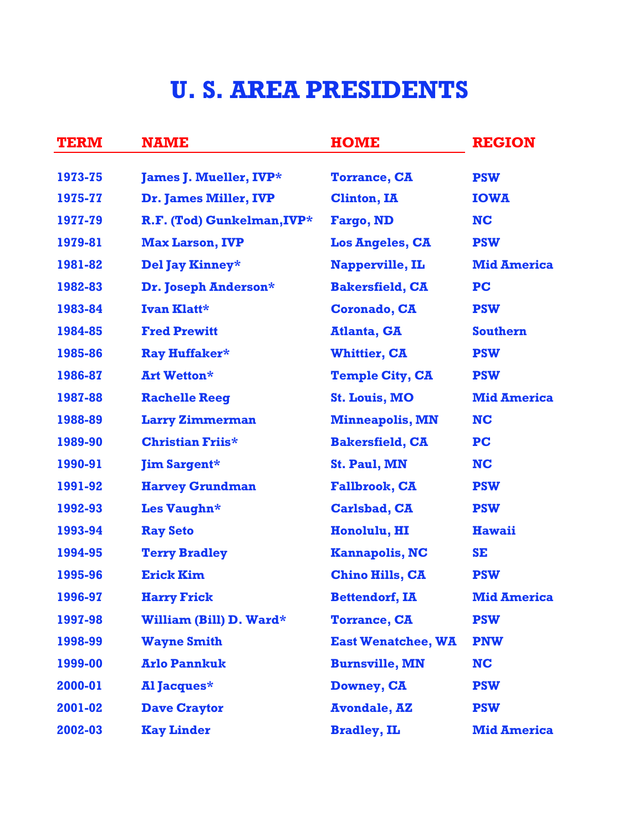## **U. S. AREA PRESIDENTS**

| <b>TERM</b> | <b>NAME</b>                | <b>HOME</b>               | <b>REGION</b>      |
|-------------|----------------------------|---------------------------|--------------------|
| 1973-75     | James J. Mueller, IVP*     | <b>Torrance, CA</b>       | <b>PSW</b>         |
| 1975-77     | Dr. James Miller, IVP      | <b>Clinton, IA</b>        | <b>IOWA</b>        |
| 1977-79     | R.F. (Tod) Gunkelman, IVP* | Fargo, ND                 | <b>NC</b>          |
| 1979-81     | <b>Max Larson, IVP</b>     | <b>Los Angeles, CA</b>    | <b>PSW</b>         |
| 1981-82     | Del Jay Kinney*            | Napperville, IL           | <b>Mid America</b> |
| 1982-83     | Dr. Joseph Anderson*       | <b>Bakersfield, CA</b>    | $PC$               |
| 1983-84     | Ivan Klatt*                | <b>Coronado, CA</b>       | <b>PSW</b>         |
| 1984-85     | <b>Fred Prewitt</b>        | <b>Atlanta, GA</b>        | <b>Southern</b>    |
| 1985-86     | Ray Huffaker*              | <b>Whittier, CA</b>       | <b>PSW</b>         |
| 1986-87     | <b>Art Wetton*</b>         | <b>Temple City, CA</b>    | <b>PSW</b>         |
| 1987-88     | <b>Rachelle Reeg</b>       | <b>St. Louis, MO</b>      | <b>Mid America</b> |
| 1988-89     | <b>Larry Zimmerman</b>     | <b>Minneapolis, MN</b>    | <b>NC</b>          |
| 1989-90     | <b>Christian Friis*</b>    | <b>Bakersfield, CA</b>    | PC                 |
| 1990-91     | <b>Jim Sargent*</b>        | St. Paul, MN              | <b>NC</b>          |
| 1991-92     | <b>Harvey Grundman</b>     | <b>Fallbrook, CA</b>      | <b>PSW</b>         |
| 1992-93     | Les Vaughn*                | <b>Carlsbad, CA</b>       | <b>PSW</b>         |
| 1993-94     | <b>Ray Seto</b>            | Honolulu, HI              | <b>Hawaii</b>      |
| 1994-95     | <b>Terry Bradley</b>       | <b>Kannapolis, NC</b>     | <b>SE</b>          |
| 1995-96     | <b>Erick Kim</b>           | <b>Chino Hills, CA</b>    | <b>PSW</b>         |
| 1996-97     | <b>Harry Frick</b>         | <b>Bettendorf, IA</b>     | <b>Mid America</b> |
| 1997-98     | William (Bill) D. Ward*    | <b>Torrance, CA</b>       | <b>PSW</b>         |
| 1998-99     | <b>Wayne Smith</b>         | <b>East Wenatchee, WA</b> | <b>PNW</b>         |
| 1999-00     | <b>Arlo Pannkuk</b>        | <b>Burnsville, MN</b>     | <b>NC</b>          |
| 2000-01     | Al Jacques*                | Downey, CA                | <b>PSW</b>         |
| 2001-02     | <b>Dave Craytor</b>        | <b>Avondale, AZ</b>       | <b>PSW</b>         |
| 2002-03     | <b>Kay Linder</b>          | <b>Bradley, IL</b>        | <b>Mid America</b> |